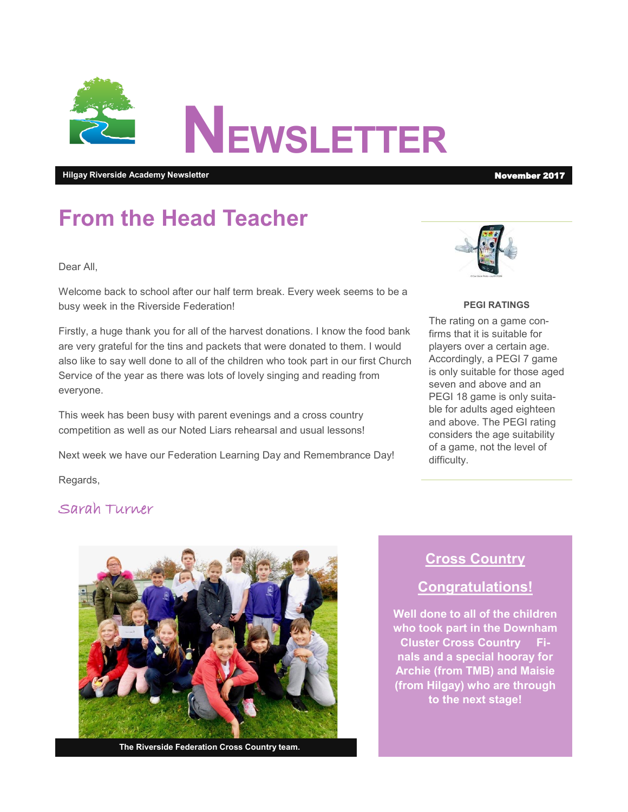

**Hilgay Riverside Academy Newsletter** November 2017

# **From the Head Teacher**

Dear All,

Welcome back to school after our half term break. Every week seems to be a busy week in the Riverside Federation!

Firstly, a huge thank you for all of the harvest donations. I know the food bank are very grateful for the tins and packets that were donated to them. I would also like to say well done to all of the children who took part in our first Church Service of the year as there was lots of lovely singing and reading from everyone.

This week has been busy with parent evenings and a cross country competition as well as our Noted Liars rehearsal and usual lessons!

Next week we have our Federation Learning Day and Remembrance Day!



#### **PEGI RATINGS**

The rating on a game confirms that it is suitable for players over a certain age. Accordingly, a PEGI 7 game is only suitable for those aged seven and above and an PEGI 18 game is only suitable for adults aged eighteen and above. The PEGI rating considers the age suitability of a game, not the level of difficulty.

Regards,

### Sarah Turner



**The Riverside Federation Cross Country team.**

## **Cross Country**

## **Congratulations!**

**Well done to all of the children who took part in the Downham Cluster Cross Country Finals and a special hooray for Archie (from TMB) and Maisie (from Hilgay) who are through to the next stage!**